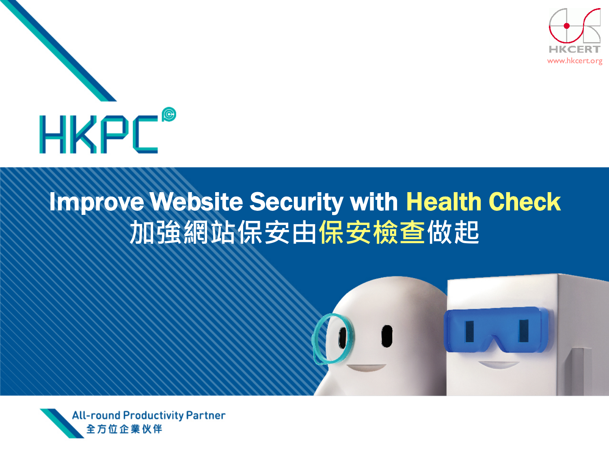



#### Improve Website Security with Health Check **加強網站保安由保安檢查做起**



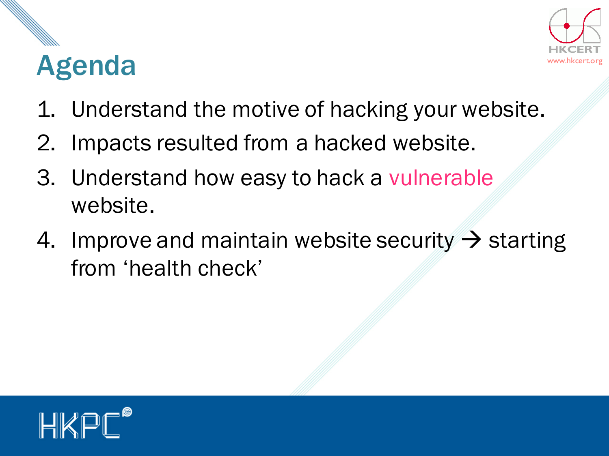#### Agenda www.hkce



- 1. Understand the motive of hacking your website.
- 2. Impacts resulted from a hacked website.
- 3. Understand how easy to hack a vulnerable website.
- 4. Improve and maintain website security  $\rightarrow$  starting from 'health check'

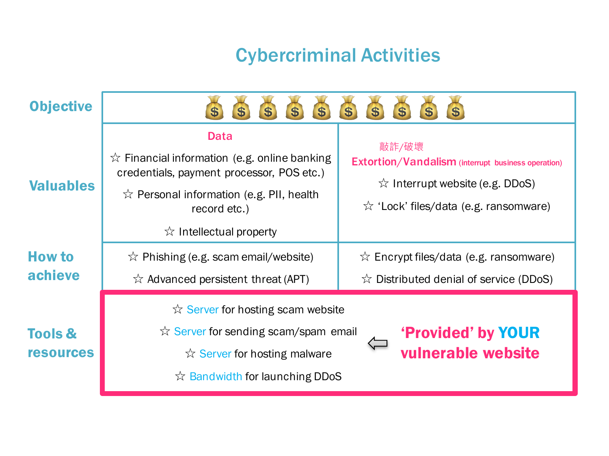#### Cybercriminal Activities

| <b>Objective</b>                             | $\bullet$<br>\$<br>\$<br>\$<br>\$<br>\$<br>$\bullet$<br>\$<br>\$<br>\$                                                                                                                                                                                                                                                                                                                                                                                                                                                                                                                                                         |  |  |
|----------------------------------------------|--------------------------------------------------------------------------------------------------------------------------------------------------------------------------------------------------------------------------------------------------------------------------------------------------------------------------------------------------------------------------------------------------------------------------------------------------------------------------------------------------------------------------------------------------------------------------------------------------------------------------------|--|--|
| <b>Valuables</b><br><b>How to</b><br>achieve | <b>Data</b><br>敲詐/破壞<br>$\forall$ Financial information (e.g. online banking<br>Extortion/Vandalism (interrupt business operation)<br>credentials, payment processor, POS etc.)<br>$\hat{\mathcal{K}}$ Interrupt website (e.g. DDoS)<br>$\sqrt{x}$ Personal information (e.g. PII, health<br>$\hat{\mathbb{X}}$ 'Lock' files/data (e.g. ransomware)<br>record etc.)<br>$\hat{\mathbb{X}}$ Intellectual property<br>$\sqrt{x}$ Phishing (e.g. scam email/website)<br>$\sqrt{x}$ Encrypt files/data (e.g. ransomware)<br>$\vec{\mathcal{X}}$ Advanced persistent threat (APT)<br>$\sqrt{x}$ Distributed denial of service (DDoS) |  |  |
| <b>Tools &amp;</b><br><b>resources</b>       | $\hat{\mathbf{x}}$ Server for hosting scam website<br>$\sqrt{x}$ Server for sending scam/spam email<br><b>'Provided' by YOUR</b><br>vulnerable website<br>$\hat{\mathbf{x}}$ Server for hosting malware<br>$\hat{\mathbf{x}}$ Bandwidth for launching DDoS                                                                                                                                                                                                                                                                                                                                                                     |  |  |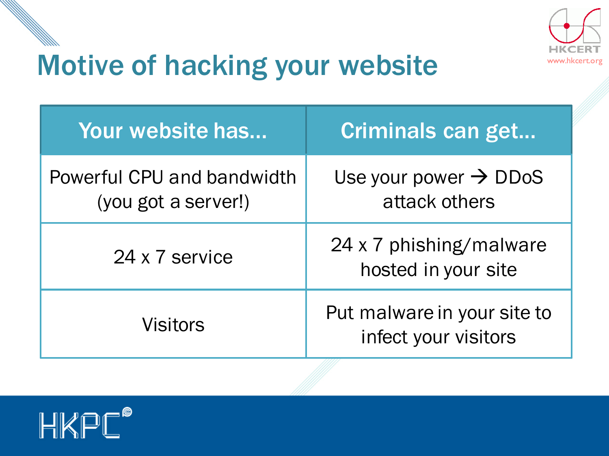



#### Motive of hacking your website

| Your website has                                  | Criminals can get                                   |  |
|---------------------------------------------------|-----------------------------------------------------|--|
| Powerful CPU and bandwidth<br>(you got a server!) | Use your power $\rightarrow$ DDoS<br>attack others  |  |
| 24 x 7 service                                    | 24 x 7 phishing/malware<br>hosted in your site      |  |
| <b>Visitors</b>                                   | Put malware in your site to<br>infect your visitors |  |

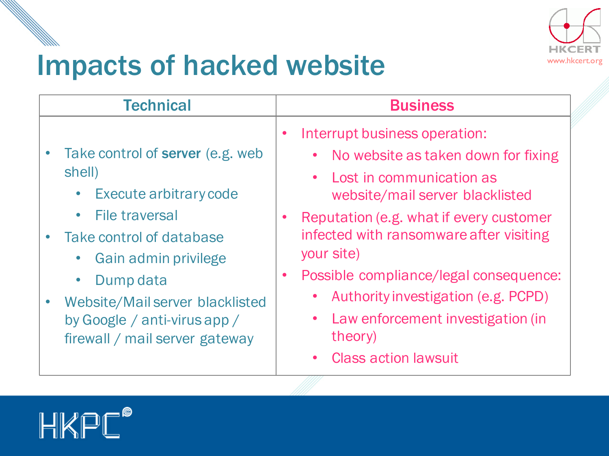



| <b>Technical</b>                                                                                                                                                                                                                                                                                                                      | <b>Business</b>                                                                                                                                                                                                                                                                                                                                                                       |  |
|---------------------------------------------------------------------------------------------------------------------------------------------------------------------------------------------------------------------------------------------------------------------------------------------------------------------------------------|---------------------------------------------------------------------------------------------------------------------------------------------------------------------------------------------------------------------------------------------------------------------------------------------------------------------------------------------------------------------------------------|--|
| Take control of server (e.g. web<br>shell)<br>Execute arbitrary code<br>$\bullet$<br><b>File traversal</b><br>$\bullet$<br>Take control of database<br><b>Gain admin privilege</b><br>$\bullet$<br>Dump data<br>$\bullet$<br><b>Website/Mail server blacklisted</b><br>by Google / anti-virus app /<br>firewall / mail server gateway | Interrupt business operation:<br>No website as taken down for fixing<br>Lost in communication as<br>website/mail server blacklisted<br>Reputation (e.g. what if every customer<br>infected with ransomware after visiting<br>your site)<br>Possible compliance/legal consequence:<br>$\bullet$<br>Authority investigation (e.g. PCPD)<br>Law enforcement investigation (in<br>theory) |  |
|                                                                                                                                                                                                                                                                                                                                       | <b>Class action lawsuit</b>                                                                                                                                                                                                                                                                                                                                                           |  |

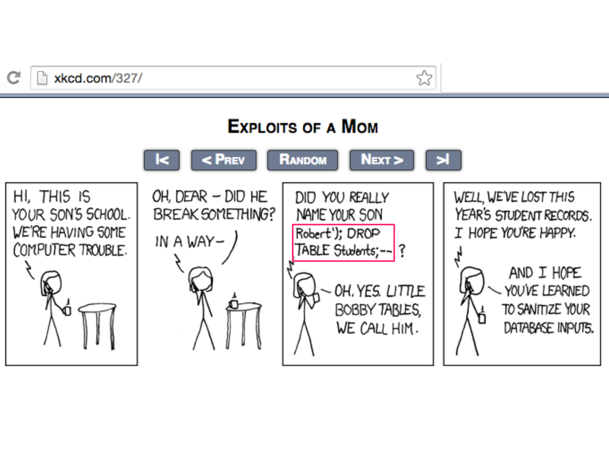C



☆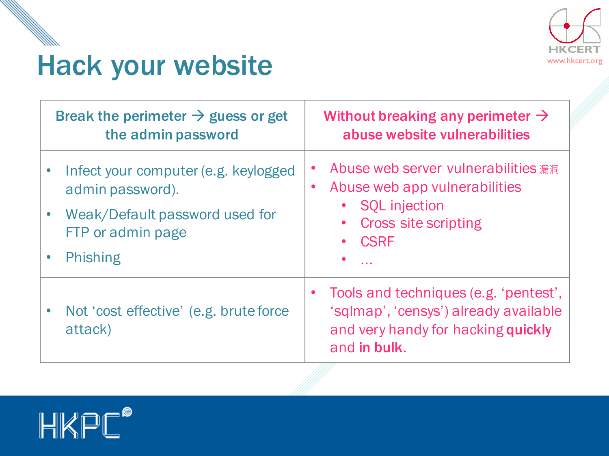



# $\begin{picture}(180,10) \put(0,0){\vector(1,0){180}} \put(10,0){\vector(1,0){180}} \put(10,0){\vector(1,0){180}} \put(10,0){\vector(1,0){180}} \put(10,0){\vector(1,0){180}} \put(10,0){\vector(1,0){180}} \put(10,0){\vector(1,0){180}} \put(10,0){\vector(1,0){180}} \put(10,0){\vector(1,0){180}} \put(10,0){\vector(1,0){180}} \put(10,0){\vector(1,0){180}}$

| Break the perimeter $\rightarrow$ guess or get<br>the admin password |                                                                        | Without breaking any perimeter $\rightarrow$<br>abuse website vulnerabilities                                                        |  |
|----------------------------------------------------------------------|------------------------------------------------------------------------|--------------------------------------------------------------------------------------------------------------------------------------|--|
|                                                                      | Infect your computer (e.g. keylogged<br>admin password).               | Abuse web server vulnerabilities 漏洞<br>$\bullet$<br>Abuse web app vulnerabilities<br>$\bullet$                                       |  |
|                                                                      | Weak/Default password used for<br>FTP or admin page<br><b>Phishing</b> | • SQL injection<br>• Cross site scripting<br><b>CSRF</b>                                                                             |  |
|                                                                      | Not 'cost effective' (e.g. brute force)<br>attack)                     | Tools and techniques (e.g. 'pentest',<br>'sqlmap', 'censys') already available<br>and very handy for hacking quickly<br>and in bulk. |  |

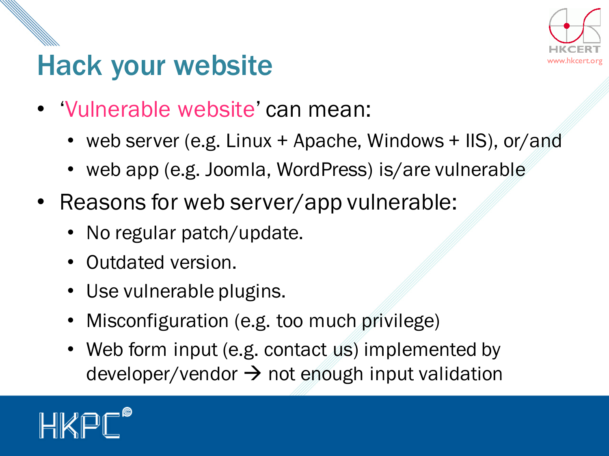

#### Hack your website was a series of the series of the series www.hkcert.org

- 'Vulnerable website' can mean:
	- web server (e.g. Linux + Apache, Windows + IIS), or/and
	- web app (e.g. Joomla, WordPress) is/are vulnerable
- Reasons for web server/app vulnerable:
	- No regular patch/update.
	- Outdated version.
	- Use vulnerable plugins.
	- Misconfiguration (e.g. too much privilege)
	- Web form input (e.g. contact us) implemented by developer/vendor  $\rightarrow$  not enough input validation

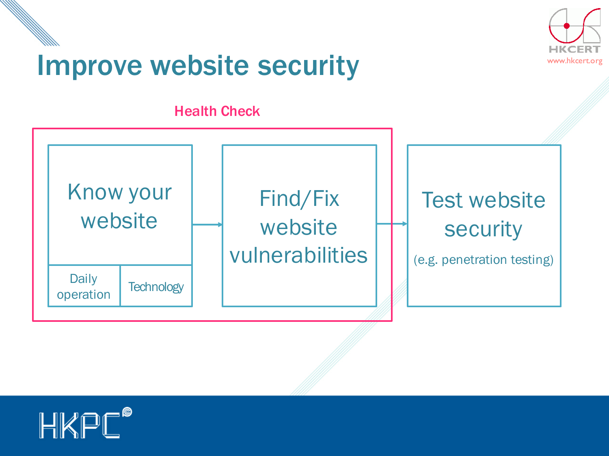





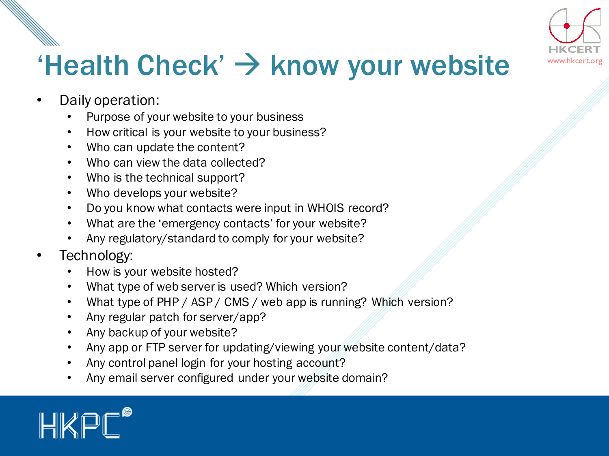

### 'Health Check'  $\rightarrow$  know your website with the state of the control of the control of  $\rightarrow$

- Daily operation:
	- Purpose of your website to your business
	- How critical is your website to your business?
	- Who can update the content?
	- Who can view the data collected?
	- Who is the technical support?
	- Who develops your website?
	- Do you know what contacts were input in WHOIS record?
	- What are the 'emergency contacts' for your website?
	- Any regulatory/standard to comply for your website?
- Technology:
	- How is your website hosted?
	- What type of web server is used? Which version?
	- What type of PHP / ASP / CMS / web app is running? Which version?
	- Any regular patch for server/app?
	- Any backup of your website?
	- Any app or FTP server for updating/viewing your website content/data?
	- Any control panel login for your hosting account?
	- Any email server configured under your website domain?

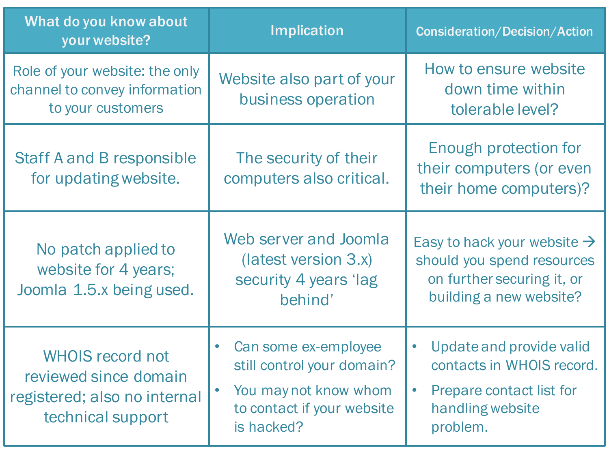| What do you know about<br>your website?                                                               | <b>Implication</b>                                                                                                                                | Consideration/Decision/Action                                                                                                               |
|-------------------------------------------------------------------------------------------------------|---------------------------------------------------------------------------------------------------------------------------------------------------|---------------------------------------------------------------------------------------------------------------------------------------------|
| Role of your website: the only<br>channel to convey information<br>to your customers                  | Website also part of your<br>business operation                                                                                                   | How to ensure website<br>down time within<br>tolerable level?                                                                               |
| <b>Staff A and B responsible</b><br>for updating website.                                             | The security of their<br>computers also critical.                                                                                                 | Enough protection for<br>their computers (or even<br>their home computers)?                                                                 |
| No patch applied to<br>website for 4 years;<br>Joomla 1.5.x being used.                               | Web server and Joomla<br>$ (latest version 3.x)$<br>security 4 years 'lag<br>behind'                                                              | Easy to hack your website $\rightarrow$<br>should you spend resources<br>on further securing it, or<br>building a new website?              |
| <b>WHOIS record not</b><br>reviewed since domain<br>registered; also no internal<br>technical support | Can some ex-employee<br>$\bullet$<br>still control your domain?<br>You may not know whom<br>$\bullet$<br>to contact if your website<br>is hacked? | Update and provide valid<br>$\bullet$<br>contacts in WHOIS record.<br>Prepare contact list for<br>$\bullet$<br>handling website<br>problem. |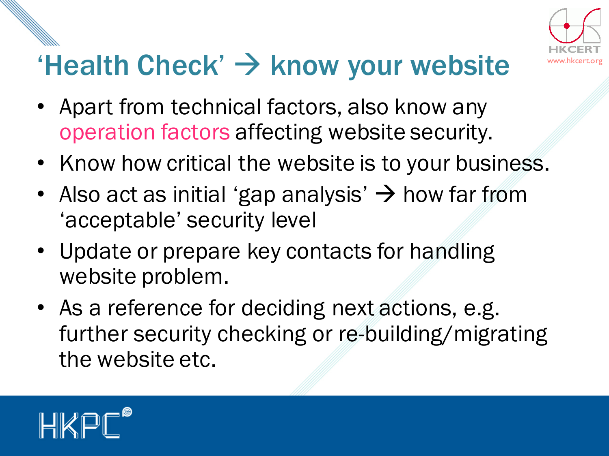#### 'Health Check'  $\rightarrow$  know your website

- Apart from technical factors, also know any operation factors affecting website security.
- Know how critical the website is to your business.
- Also act as initial 'gap analysis'  $\rightarrow$  how far from 'acceptable' security level
- Update or prepare key contacts for handling website problem.
- As a reference for deciding next actions, e.g. further security checking or re-building/migrating the website etc.

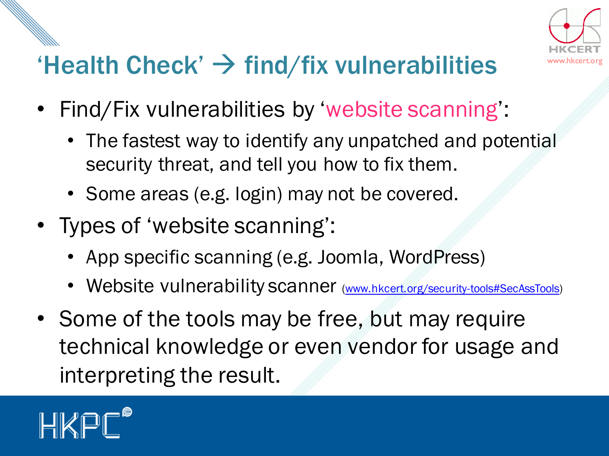#### 'Health Check'  $\rightarrow$  find/fix vulnerabilities

- Find/Fix vulnerabilities by 'website scanning':
	- The fastest way to identify any unpatched and potential security threat, and tell you how to fix them.
	- Some areas (e.g. login) may not be covered.
- Types of 'website scanning':
	- App specific scanning (e.g. Joomla, WordPress)
	- Website vulnerability scanner (www.hkcert.org/security-tools#SecAssTools)
- Some of the tools may be free, but may require technical knowledge or even vendor for usage and interpreting the result.

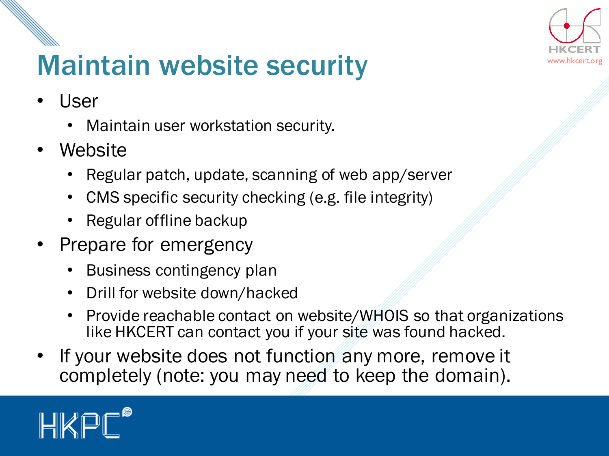

#### Maintain website security www.hkce

- **User** 
	- Maintain user workstation security.
- Website
	- Regular patch, update, scanning of web app/server
	- CMS specific security checking (e.g. file integrity)
	- Regular offline backup
- Prepare for emergency
	- Business contingency plan
	- Drill for website down/hacked
	- Provide reachable contact on website/WHOIS so that organizations like HKCERT can contact you if your site was found hacked.
- If your website does not function any more, remove it completely (note: you may need to keep the domain).

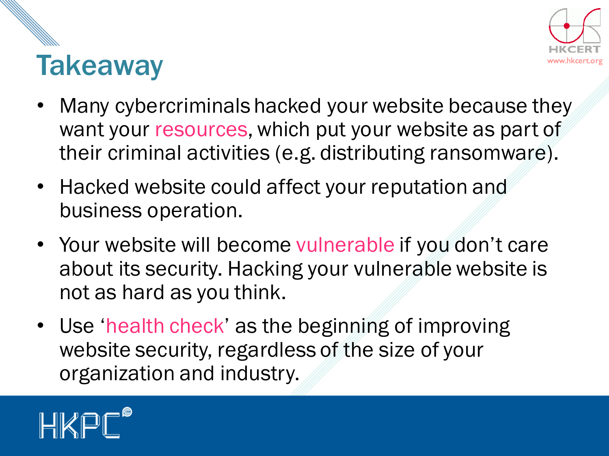

#### Takeaway

- Many cybercriminals hacked your website because they want your resources, which put your website as part of their criminal activities (e.g. distributing ransomware).
- Hacked website could affect your reputation and business operation.
- Your website will become vulnerable if you don't care about its security. Hacking your vulnerable website is not as hard as you think.
- Use 'health check' as the beginning of improving website security, regardless of the size of your organization and industry.